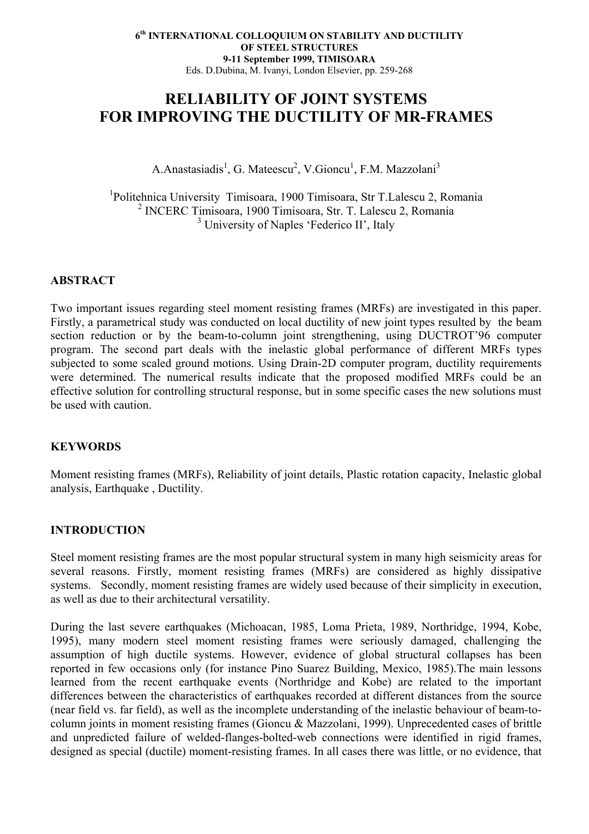# **RELIABILITY OF JOINT SYSTEMS FOR IMPROVING THE DUCTILITY OF MR-FRAMES**

A.Anastasiadis<sup>1</sup>, G. Mateescu<sup>2</sup>, V.Gioncu<sup>1</sup>, F.M. Mazzolani<sup>3</sup>

1 Politehnica University Timisoara, 1900 Timisoara, Str T.Lalescu 2, Romania 2 INCERC Timisoara, 1900 Timisoara, Str. T. Lalescu 2, Romania <sup>3</sup> University of Naples 'Federico II', Italy

# **ABSTRACT**

Two important issues regarding steel moment resisting frames (MRFs) are investigated in this paper. Firstly, a parametrical study was conducted on local ductility of new joint types resulted by the beam section reduction or by the beam-to-column joint strengthening, using DUCTROT'96 computer program. The second part deals with the inelastic global performance of different MRFs types subjected to some scaled ground motions. Using Drain-2D computer program, ductility requirements were determined. The numerical results indicate that the proposed modified MRFs could be an effective solution for controlling structural response, but in some specific cases the new solutions must be used with caution.

#### **KEYWORDS**

Moment resisting frames (MRFs), Reliability of joint details, Plastic rotation capacity, Inelastic global analysis, Earthquake , Ductility.

# **INTRODUCTION**

Steel moment resisting frames are the most popular structural system in many high seismicity areas for several reasons. Firstly, moment resisting frames (MRFs) are considered as highly dissipative systems. Secondly, moment resisting frames are widely used because of their simplicity in execution, as well as due to their architectural versatility.

During the last severe earthquakes (Michoacan, 1985, Loma Prieta, 1989, Northridge, 1994, Kobe, 1995), many modern steel moment resisting frames were seriously damaged, challenging the assumption of high ductile systems. However, evidence of global structural collapses has been reported in few occasions only (for instance Pino Suarez Building, Mexico, 1985).The main lessons learned from the recent earthquake events (Northridge and Kobe) are related to the important differences between the characteristics of earthquakes recorded at different distances from the source (near field vs. far field), as well as the incomplete understanding of the inelastic behaviour of beam-tocolumn joints in moment resisting frames (Gioncu & Mazzolani, 1999). Unprecedented cases of brittle and unpredicted failure of welded-flanges-bolted-web connections were identified in rigid frames, designed as special (ductile) moment-resisting frames. In all cases there was little, or no evidence, that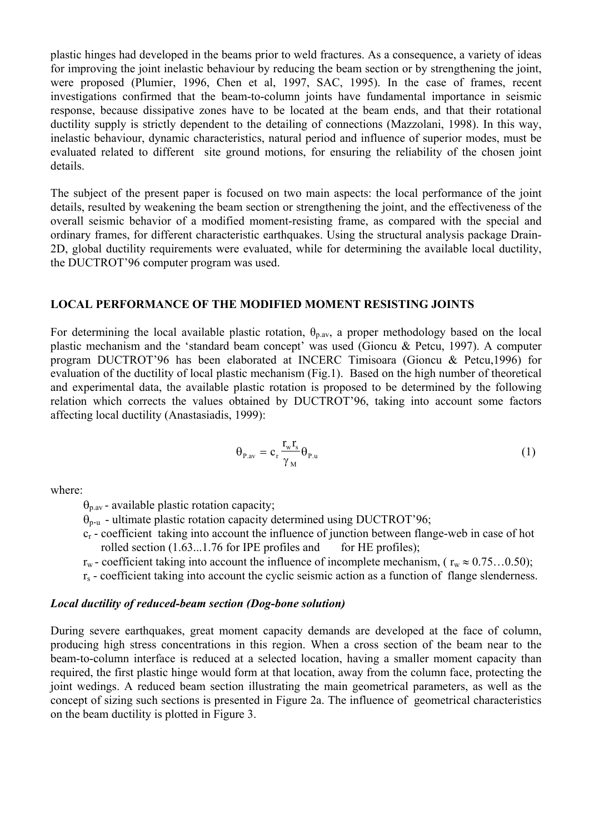plastic hinges had developed in the beams prior to weld fractures. As a consequence, a variety of ideas for improving the joint inelastic behaviour by reducing the beam section or by strengthening the joint, were proposed (Plumier, 1996, Chen et al, 1997, SAC, 1995). In the case of frames, recent investigations confirmed that the beam-to-column joints have fundamental importance in seismic response, because dissipative zones have to be located at the beam ends, and that their rotational ductility supply is strictly dependent to the detailing of connections (Mazzolani, 1998). In this way, inelastic behaviour, dynamic characteristics, natural period and influence of superior modes, must be evaluated related to different site ground motions, for ensuring the reliability of the chosen joint details.

The subject of the present paper is focused on two main aspects: the local performance of the joint details, resulted by weakening the beam section or strengthening the joint, and the effectiveness of the overall seismic behavior of a modified moment-resisting frame, as compared with the special and ordinary frames, for different characteristic earthquakes. Using the structural analysis package Drain-2D, global ductility requirements were evaluated, while for determining the available local ductility, the DUCTROT'96 computer program was used.

#### **LOCAL PERFORMANCE OF THE MODIFIED MOMENT RESISTING JOINTS**

For determining the local available plastic rotation,  $\theta_{\text{p}}$  a proper methodology based on the local plastic mechanism and the 'standard beam concept' was used (Gioncu & Petcu, 1997). A computer program DUCTROT'96 has been elaborated at INCERC Timisoara (Gioncu & Petcu,1996) for evaluation of the ductility of local plastic mechanism (Fig.1). Based on the high number of theoretical and experimental data, the available plastic rotation is proposed to be determined by the following relation which corrects the values obtained by DUCTROT'96, taking into account some factors affecting local ductility (Anastasiadis, 1999):

$$
\Theta_{P,av} = c_r \frac{r_w r_s}{\gamma_M} \Theta_{P,u}
$$
 (1)

where:

 $\theta_{p,av}$  - available plastic rotation capacity;

 $\dot{\theta}_{p\cdot u}$  - ultimate plastic rotation capacity determined using DUCTROT'96;

 cr - coefficient taking into account the influence of junction between flange-web in case of hot rolled section  $(1.63...1.76$  for IPE profiles and for HE profiles);

 $r_w$  - coefficient taking into account the influence of incomplete mechanism, ( $r_w \approx 0.75...0.50$ );

 $r<sub>s</sub>$  - coefficient taking into account the cyclic seismic action as a function of flange slenderness.

#### *Local ductility of reduced-beam section (Dog-bone solution)*

During severe earthquakes, great moment capacity demands are developed at the face of column, producing high stress concentrations in this region. When a cross section of the beam near to the beam-to-column interface is reduced at a selected location, having a smaller moment capacity than required, the first plastic hinge would form at that location, away from the column face, protecting the joint wedings. A reduced beam section illustrating the main geometrical parameters, as well as the concept of sizing such sections is presented in Figure 2a. The influence of geometrical characteristics on the beam ductility is plotted in Figure 3.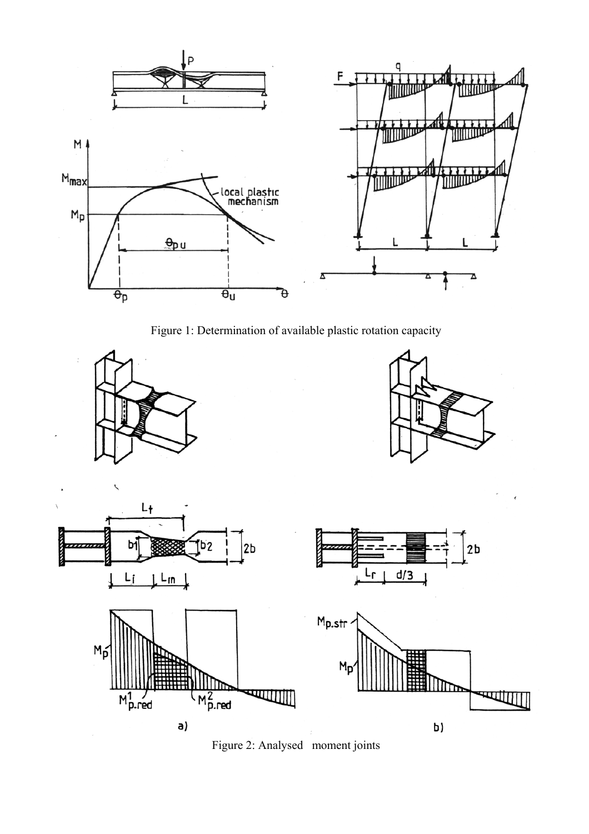

Figure 1: Determination of available plastic rotation capacity





b)

 $2<sub>b</sub>$ 

हिला



 $a)$ 

Figure 2: Analysed moment joints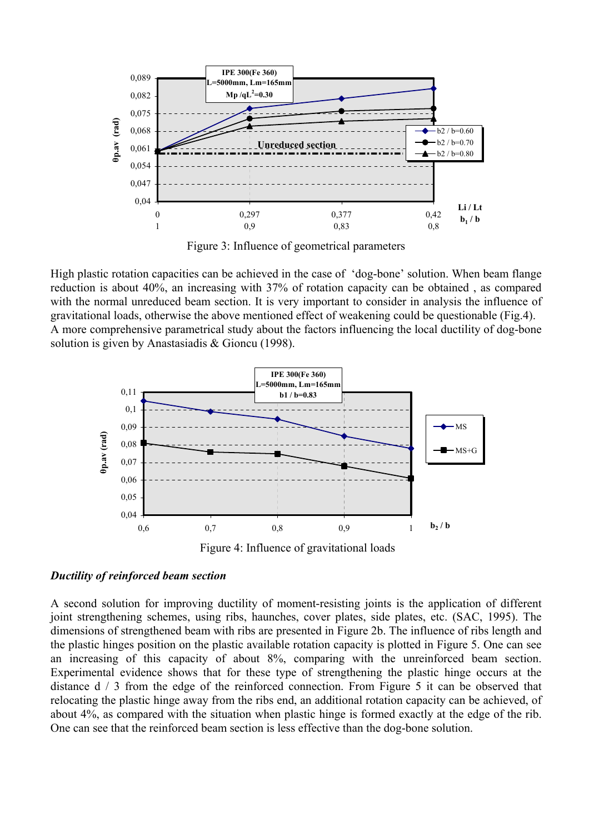

Figure 3: Influence of geometrical parameters

High plastic rotation capacities can be achieved in the case of 'dog-bone' solution. When beam flange reduction is about 40%, an increasing with 37% of rotation capacity can be obtained , as compared with the normal unreduced beam section. It is very important to consider in analysis the influence of gravitational loads, otherwise the above mentioned effect of weakening could be questionable (Fig.4). A more comprehensive parametrical study about the factors influencing the local ductility of dog-bone solution is given by Anastasiadis & Gioncu (1998).



Figure 4: Influence of gravitational loads

#### *Ductility of reinforced beam section*

A second solution for improving ductility of moment-resisting joints is the application of different joint strengthening schemes, using ribs, haunches, cover plates, side plates, etc. (SAC, 1995). The dimensions of strengthened beam with ribs are presented in Figure 2b. The influence of ribs length and the plastic hinges position on the plastic available rotation capacity is plotted in Figure 5. One can see an increasing of this capacity of about 8%, comparing with the unreinforced beam section. Experimental evidence shows that for these type of strengthening the plastic hinge occurs at the distance  $d / 3$  from the edge of the reinforced connection. From Figure 5 it can be observed that relocating the plastic hinge away from the ribs end, an additional rotation capacity can be achieved, of about 4%, as compared with the situation when plastic hinge is formed exactly at the edge of the rib. One can see that the reinforced beam section is less effective than the dog-bone solution.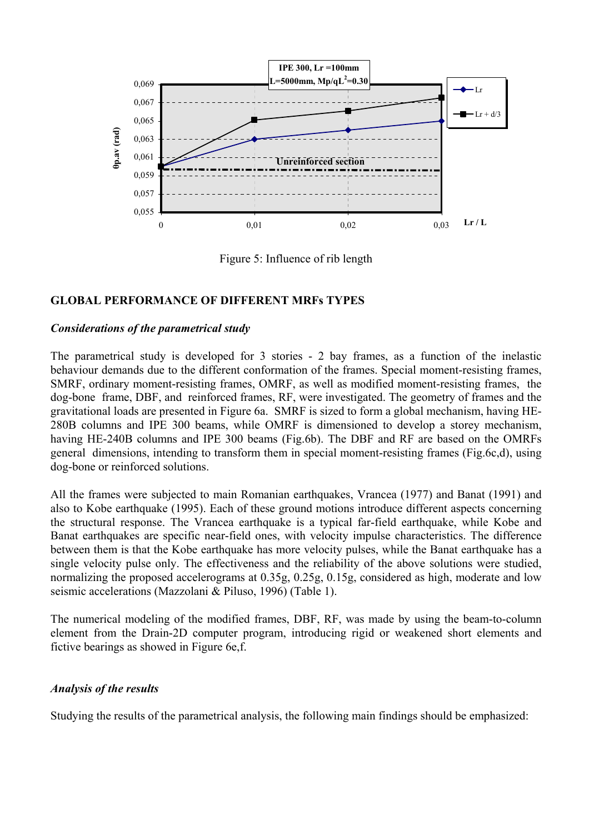

Figure 5: Influence of rib length

## **GLOBAL PERFORMANCE OF DIFFERENT MRFs TYPES**

#### *Considerations of the parametrical study*

The parametrical study is developed for 3 stories - 2 bay frames, as a function of the inelastic behaviour demands due to the different conformation of the frames. Special moment-resisting frames, SMRF, ordinary moment-resisting frames, OMRF, as well as modified moment-resisting frames, the dog-bone frame, DBF, and reinforced frames, RF, were investigated. The geometry of frames and the gravitational loads are presented in Figure 6a. SMRF is sized to form a global mechanism, having HE-280B columns and IPE 300 beams, while OMRF is dimensioned to develop a storey mechanism, having HE-240B columns and IPE 300 beams (Fig.6b). The DBF and RF are based on the OMRFs general dimensions, intending to transform them in special moment-resisting frames (Fig.6c,d), using dog-bone or reinforced solutions.

All the frames were subjected to main Romanian earthquakes, Vrancea (1977) and Banat (1991) and also to Kobe earthquake (1995). Each of these ground motions introduce different aspects concerning the structural response. The Vrancea earthquake is a typical far-field earthquake, while Kobe and Banat earthquakes are specific near-field ones, with velocity impulse characteristics. The difference between them is that the Kobe earthquake has more velocity pulses, while the Banat earthquake has a single velocity pulse only. The effectiveness and the reliability of the above solutions were studied, normalizing the proposed accelerograms at 0.35g, 0.25g, 0.15g, considered as high, moderate and low seismic accelerations (Mazzolani & Piluso, 1996) (Table 1).

The numerical modeling of the modified frames, DBF, RF, was made by using the beam-to-column element from the Drain-2D computer program, introducing rigid or weakened short elements and fictive bearings as showed in Figure 6e,f.

## *Analysis of the results*

Studying the results of the parametrical analysis, the following main findings should be emphasized: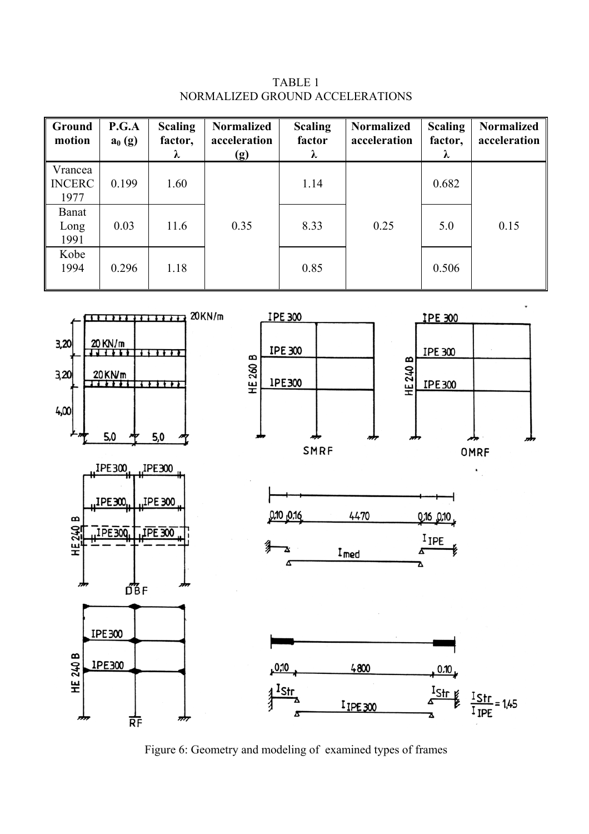TABLE 1 NORMALIZED GROUND ACCELERATIONS

| Ground<br>motion                 | P.G.A<br>$a_0(g)$ | <b>Scaling</b><br>factor,<br>λ | <b>Normalized</b><br>acceleration<br>(g) | <b>Scaling</b><br>factor<br>λ | <b>Normalized</b><br>acceleration | <b>Scaling</b><br>factor,<br>$\lambda$ | <b>Normalized</b><br>acceleration |
|----------------------------------|-------------------|--------------------------------|------------------------------------------|-------------------------------|-----------------------------------|----------------------------------------|-----------------------------------|
| Vrancea<br><b>INCERC</b><br>1977 | 0.199             | 1.60                           |                                          | 1.14                          |                                   | 0.682                                  |                                   |
| <b>Banat</b><br>Long<br>1991     | 0.03              | 11.6                           | 0.35                                     | 8.33                          | 0.25                              | 5.0                                    | 0.15                              |
| Kobe<br>1994                     | 0.296             | 1.18                           |                                          | 0.85                          |                                   | 0.506                                  |                                   |



Figure 6: Geometry and modeling of examined types of frames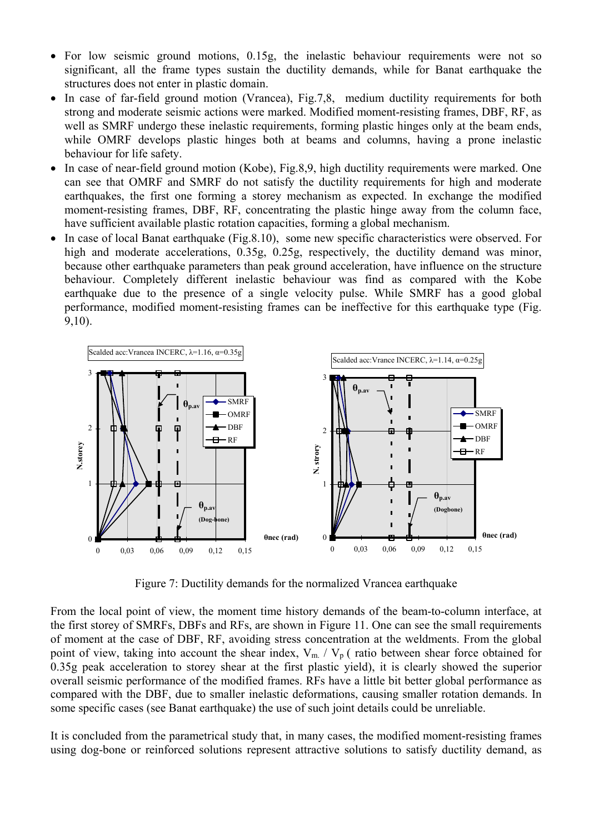- For low seismic ground motions, 0.15g, the inelastic behaviour requirements were not so significant, all the frame types sustain the ductility demands, while for Banat earthquake the structures does not enter in plastic domain.
- In case of far-field ground motion (Vrancea), Fig.7,8, medium ductility requirements for both strong and moderate seismic actions were marked. Modified moment-resisting frames, DBF, RF, as well as SMRF undergo these inelastic requirements, forming plastic hinges only at the beam ends, while OMRF develops plastic hinges both at beams and columns, having a prone inelastic behaviour for life safety.
- In case of near-field ground motion (Kobe), Fig. 8,9, high ductility requirements were marked. One can see that OMRF and SMRF do not satisfy the ductility requirements for high and moderate earthquakes, the first one forming a storey mechanism as expected. In exchange the modified moment-resisting frames, DBF, RF, concentrating the plastic hinge away from the column face, have sufficient available plastic rotation capacities, forming a global mechanism.
- In case of local Banat earthquake (Fig. 8.10), some new specific characteristics were observed. For high and moderate accelerations, 0.35g, 0.25g, respectively, the ductility demand was minor, because other earthquake parameters than peak ground acceleration, have influence on the structure behaviour. Completely different inelastic behaviour was find as compared with the Kobe earthquake due to the presence of a single velocity pulse. While SMRF has a good global performance, modified moment-resisting frames can be ineffective for this earthquake type (Fig. 9,10).



Figure 7: Ductility demands for the normalized Vrancea earthquake

From the local point of view, the moment time history demands of the beam-to-column interface, at the first storey of SMRFs, DBFs and RFs, are shown in Figure 11. One can see the small requirements of moment at the case of DBF, RF, avoiding stress concentration at the weldments. From the global point of view, taking into account the shear index,  $V_m / V_p$  (ratio between shear force obtained for 0.35g peak acceleration to storey shear at the first plastic yield), it is clearly showed the superior overall seismic performance of the modified frames. RFs have a little bit better global performance as compared with the DBF, due to smaller inelastic deformations, causing smaller rotation demands. In some specific cases (see Banat earthquake) the use of such joint details could be unreliable.

It is concluded from the parametrical study that, in many cases, the modified moment-resisting frames using dog-bone or reinforced solutions represent attractive solutions to satisfy ductility demand, as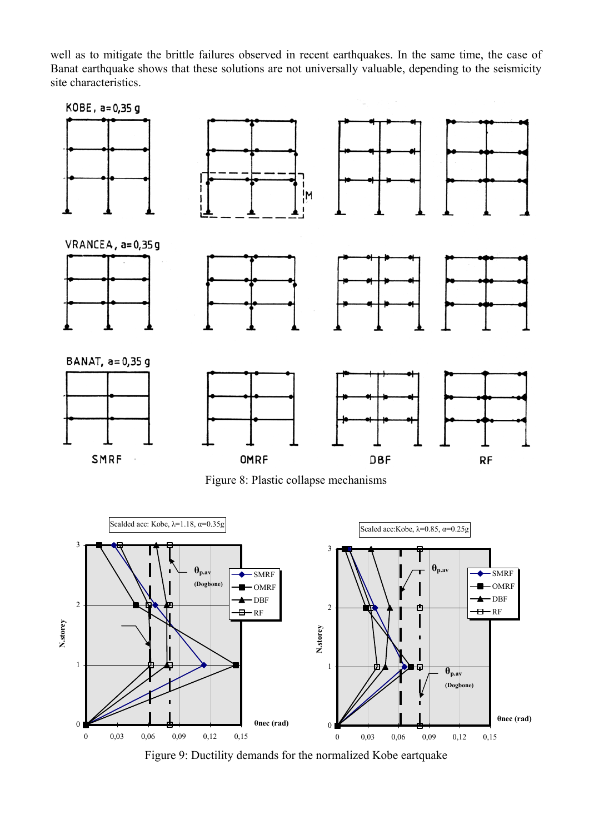well as to mitigate the brittle failures observed in recent earthquakes. In the same time, the case of Banat earthquake shows that these solutions are not universally valuable, depending to the seismicity site characteristics.



Figure 8: Plastic collapse mechanisms



Figure 9: Ductility demands for the normalized Kobe eartquake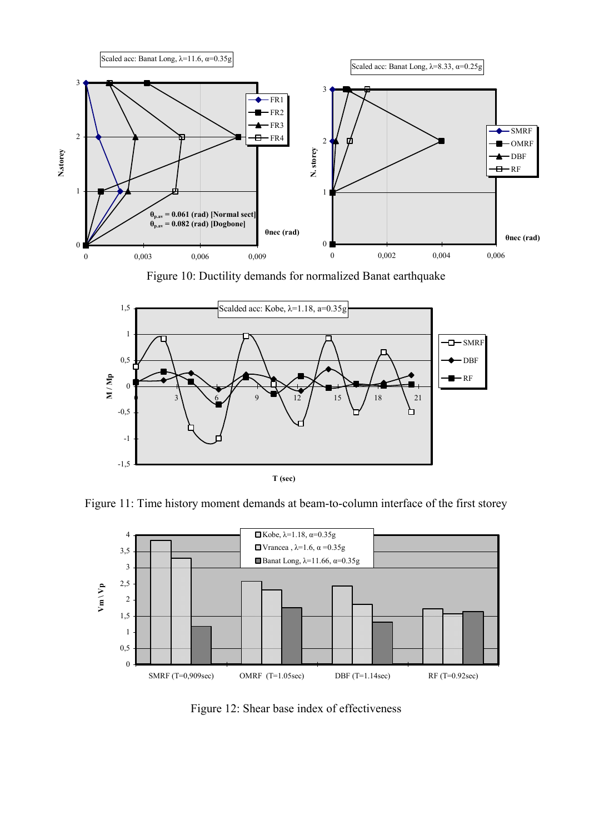

Figure 10: Ductility demands for normalized Banat earthquake







Figure 12: Shear base index of effectiveness